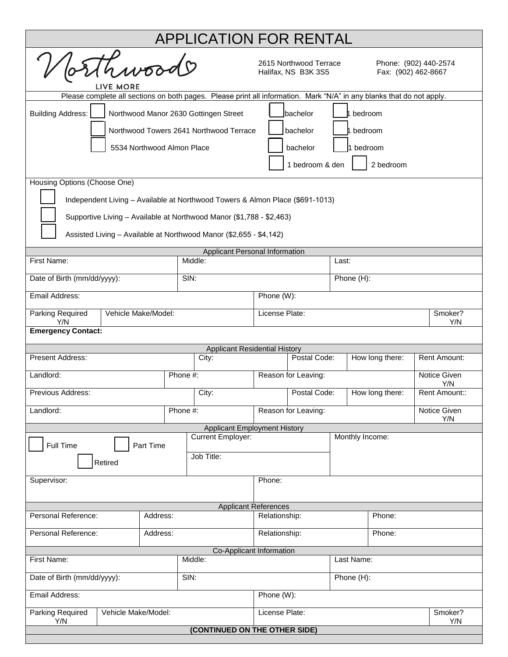| <b>APPLICATION FOR RENTAL</b>                                                                                         |                                                                      |  |                                      |                                                                                               |                 |                 |  |                     |  |  |
|-----------------------------------------------------------------------------------------------------------------------|----------------------------------------------------------------------|--|--------------------------------------|-----------------------------------------------------------------------------------------------|-----------------|-----------------|--|---------------------|--|--|
| hwoods<br>LIVE MORE                                                                                                   |                                                                      |  |                                      | 2615 Northwood Terrace<br>Phone: (902) 440-2574<br>Halifax, NS B3K 3S5<br>Fax: (902) 462-8667 |                 |                 |  |                     |  |  |
| Please complete all sections on both pages. Please print all information. Mark "N/A" in any blanks that do not apply. |                                                                      |  |                                      |                                                                                               |                 |                 |  |                     |  |  |
| <b>Building Address:</b><br>Northwood Manor 2630 Gottingen Street<br>Ibachelor<br>bedroom                             |                                                                      |  |                                      |                                                                                               |                 |                 |  |                     |  |  |
| Northwood Towers 2641 Northwood Terrace<br>bachelor<br>1 bedroom                                                      |                                                                      |  |                                      |                                                                                               |                 |                 |  |                     |  |  |
| 5534 Northwood Almon Place<br>bachelor<br>1 bedroom                                                                   |                                                                      |  |                                      |                                                                                               |                 |                 |  |                     |  |  |
|                                                                                                                       |                                                                      |  |                                      |                                                                                               |                 |                 |  |                     |  |  |
| 1 bedroom & den<br>2 bedroom                                                                                          |                                                                      |  |                                      |                                                                                               |                 |                 |  |                     |  |  |
| Housing Options (Choose One)                                                                                          |                                                                      |  |                                      |                                                                                               |                 |                 |  |                     |  |  |
| Independent Living - Available at Northwood Towers & Almon Place (\$691-1013)                                         |                                                                      |  |                                      |                                                                                               |                 |                 |  |                     |  |  |
|                                                                                                                       | Supportive Living - Available at Northwood Manor (\$1,788 - \$2,463) |  |                                      |                                                                                               |                 |                 |  |                     |  |  |
| Assisted Living - Available at Northwood Manor (\$2,655 - \$4,142)                                                    |                                                                      |  |                                      |                                                                                               |                 |                 |  |                     |  |  |
| <b>Applicant Personal Information</b>                                                                                 |                                                                      |  |                                      |                                                                                               |                 |                 |  |                     |  |  |
|                                                                                                                       | Middle:<br>First Name:                                               |  |                                      |                                                                                               |                 | Last:           |  |                     |  |  |
| Date of Birth (mm/dd/yyyy):<br>SIN:                                                                                   |                                                                      |  |                                      | Phone (H):                                                                                    |                 |                 |  |                     |  |  |
| Email Address:<br>Phone (W):                                                                                          |                                                                      |  |                                      |                                                                                               |                 |                 |  |                     |  |  |
| Parking Required<br>Vehicle Make/Model:<br>Y/N                                                                        |                                                                      |  |                                      | License Plate:<br>Smoker?                                                                     |                 |                 |  | Y/N                 |  |  |
| <b>Emergency Contact:</b>                                                                                             |                                                                      |  |                                      |                                                                                               |                 |                 |  |                     |  |  |
|                                                                                                                       |                                                                      |  | <b>Applicant Residential History</b> |                                                                                               |                 |                 |  |                     |  |  |
| Present Address:                                                                                                      | City:                                                                |  | Postal Code:                         |                                                                                               | How long there: |                 |  | Rent Amount:        |  |  |
| Landlord:                                                                                                             | Phone #:                                                             |  | Reason for Leaving:                  |                                                                                               |                 |                 |  | Notice Given<br>Y/N |  |  |
| Previous Address:                                                                                                     | City:                                                                |  |                                      | Postal Code:                                                                                  |                 | How long there: |  | Rent Amount::       |  |  |
| Landlord:                                                                                                             | Phone #:                                                             |  | Reason for Leaving:                  |                                                                                               |                 |                 |  | Notice Given<br>Y/N |  |  |
|                                                                                                                       |                                                                      |  | <b>Applicant Employment History</b>  |                                                                                               |                 |                 |  |                     |  |  |
| <b>Current Employer:</b><br>Full Time<br>Part Time                                                                    |                                                                      |  |                                      |                                                                                               |                 | Monthly Income: |  |                     |  |  |
| Job Title:<br>Retired                                                                                                 |                                                                      |  |                                      |                                                                                               |                 |                 |  |                     |  |  |
| Supervisor:                                                                                                           |                                                                      |  |                                      | Phone:                                                                                        |                 |                 |  |                     |  |  |
|                                                                                                                       |                                                                      |  |                                      |                                                                                               |                 |                 |  |                     |  |  |
| <b>Applicant References</b><br>Address:                                                                               |                                                                      |  |                                      |                                                                                               |                 |                 |  |                     |  |  |
| Personal Reference:                                                                                                   |                                                                      |  | Relationship:                        |                                                                                               | Phone:          |                 |  |                     |  |  |
| Personal Reference:<br>Address:                                                                                       |                                                                      |  |                                      | Relationship:                                                                                 |                 | Phone:          |  |                     |  |  |
| Co-Applicant Information<br>Middle:                                                                                   |                                                                      |  |                                      |                                                                                               | Last Name:      |                 |  |                     |  |  |
| First Name:                                                                                                           |                                                                      |  |                                      |                                                                                               |                 |                 |  |                     |  |  |
| SIN:<br>Date of Birth (mm/dd/yyyy):                                                                                   |                                                                      |  | Phone (H):                           |                                                                                               |                 |                 |  |                     |  |  |
| Email Address:                                                                                                        |                                                                      |  |                                      | Phone (W):                                                                                    |                 |                 |  |                     |  |  |
| Parking Required<br>Vehicle Make/Model:<br>Y/N                                                                        |                                                                      |  |                                      | License Plate:<br>Smoker?<br>Y/N                                                              |                 |                 |  |                     |  |  |
| (CONTINUED ON THE OTHER SIDE)                                                                                         |                                                                      |  |                                      |                                                                                               |                 |                 |  |                     |  |  |